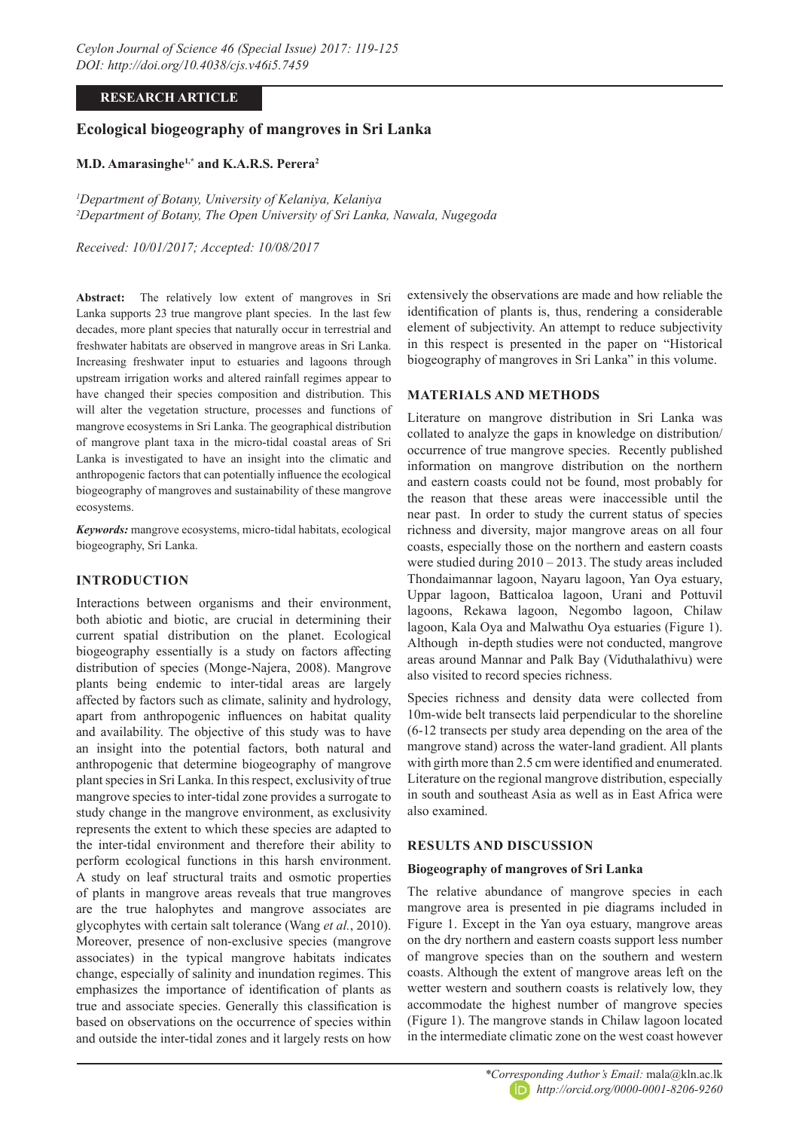#### **RESEARCH ARTICLE**

# **Ecological biogeography of mangroves in Sri Lanka**

#### **M.D. Amarasinghe1,\* and K.A.R.S. Perera2**

*1 Department of Botany, University of Kelaniya, Kelaniya 2 Department of Botany, The Open University of Sri Lanka, Nawala, Nugegoda*

*Received: 10/01/2017; Accepted: 10/08/2017*

**Abstract:** The relatively low extent of mangroves in Sri Lanka supports 23 true mangrove plant species. In the last few decades, more plant species that naturally occur in terrestrial and freshwater habitats are observed in mangrove areas in Sri Lanka. Increasing freshwater input to estuaries and lagoons through upstream irrigation works and altered rainfall regimes appear to have changed their species composition and distribution. This will alter the vegetation structure, processes and functions of mangrove ecosystems in Sri Lanka. The geographical distribution of mangrove plant taxa in the micro-tidal coastal areas of Sri Lanka is investigated to have an insight into the climatic and anthropogenic factors that can potentially influence the ecological biogeography of mangroves and sustainability of these mangrove ecosystems.

*Keywords:* mangrove ecosystems, micro-tidal habitats, ecological biogeography, Sri Lanka.

## **INTRODUCTION**

Interactions between organisms and their environment, both abiotic and biotic, are crucial in determining their current spatial distribution on the planet. Ecological biogeography essentially is a study on factors affecting distribution of species (Monge-Najera, 2008). Mangrove plants being endemic to inter-tidal areas are largely affected by factors such as climate, salinity and hydrology, apart from anthropogenic influences on habitat quality and availability. The objective of this study was to have an insight into the potential factors, both natural and anthropogenic that determine biogeography of mangrove plant species in Sri Lanka. In this respect, exclusivity of true mangrove species to inter-tidal zone provides a surrogate to study change in the mangrove environment, as exclusivity represents the extent to which these species are adapted to the inter-tidal environment and therefore their ability to perform ecological functions in this harsh environment. A study on leaf structural traits and osmotic properties of plants in mangrove areas reveals that true mangroves are the true halophytes and mangrove associates are glycophytes with certain salt tolerance (Wang *et al.*, 2010). Moreover, presence of non-exclusive species (mangrove associates) in the typical mangrove habitats indicates change, especially of salinity and inundation regimes. This emphasizes the importance of identification of plants as true and associate species. Generally this classification is based on observations on the occurrence of species within and outside the inter-tidal zones and it largely rests on how

extensively the observations are made and how reliable the identification of plants is, thus, rendering a considerable element of subjectivity. An attempt to reduce subjectivity in this respect is presented in the paper on "Historical biogeography of mangroves in Sri Lanka" in this volume.

## **MATERIALS AND METHODS**

Literature on mangrove distribution in Sri Lanka was collated to analyze the gaps in knowledge on distribution/ occurrence of true mangrove species. Recently published information on mangrove distribution on the northern and eastern coasts could not be found, most probably for the reason that these areas were inaccessible until the near past. In order to study the current status of species richness and diversity, major mangrove areas on all four coasts, especially those on the northern and eastern coasts were studied during 2010 – 2013. The study areas included Thondaimannar lagoon, Nayaru lagoon, Yan Oya estuary, Uppar lagoon, Batticaloa lagoon, Urani and Pottuvil lagoons, Rekawa lagoon, Negombo lagoon, Chilaw lagoon, Kala Oya and Malwathu Oya estuaries (Figure 1). Although in-depth studies were not conducted, mangrove areas around Mannar and Palk Bay (Viduthalathivu) were also visited to record species richness.

Species richness and density data were collected from 10m-wide belt transects laid perpendicular to the shoreline (6-12 transects per study area depending on the area of the mangrove stand) across the water-land gradient. All plants with girth more than 2.5 cm were identified and enumerated. Literature on the regional mangrove distribution, especially in south and southeast Asia as well as in East Africa were also examined.

## **RESULTS AND DISCUSSION**

#### **Biogeography of mangroves of Sri Lanka**

The relative abundance of mangrove species in each mangrove area is presented in pie diagrams included in Figure 1. Except in the Yan oya estuary, mangrove areas on the dry northern and eastern coasts support less number of mangrove species than on the southern and western coasts. Although the extent of mangrove areas left on the wetter western and southern coasts is relatively low, they accommodate the highest number of mangrove species (Figure 1). The mangrove stands in Chilaw lagoon located in the intermediate climatic zone on the west coast however

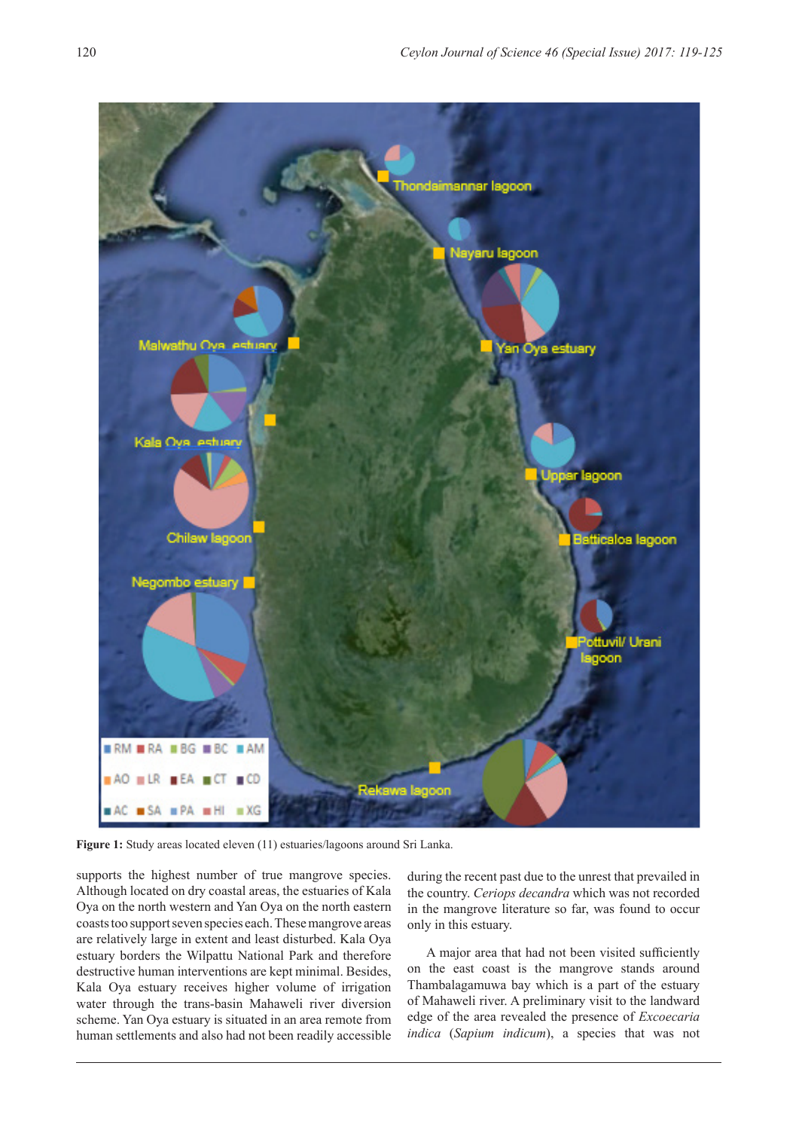

**Figure 1:** Study areas located eleven (11) estuaries/lagoons around Sri Lanka.

supports the highest number of true mangrove species. Although located on dry coastal areas, the estuaries of Kala Oya on the north western and Yan Oya on the north eastern coasts too support seven species each. These mangrove areas are relatively large in extent and least disturbed. Kala Oya estuary borders the Wilpattu National Park and therefore destructive human interventions are kept minimal. Besides, Kala Oya estuary receives higher volume of irrigation water through the trans-basin Mahaweli river diversion scheme. Yan Oya estuary is situated in an area remote from human settlements and also had not been readily accessible

during the recent past due to the unrest that prevailed in the country. *Ceriops decandra* which was not recorded in the mangrove literature so far, was found to occur only in this estuary.

A major area that had not been visited sufficiently on the east coast is the mangrove stands around Thambalagamuwa bay which is a part of the estuary of Mahaweli river. A preliminary visit to the landward edge of the area revealed the presence of *Excoecaria indica* (*Sapium indicum*), a species that was not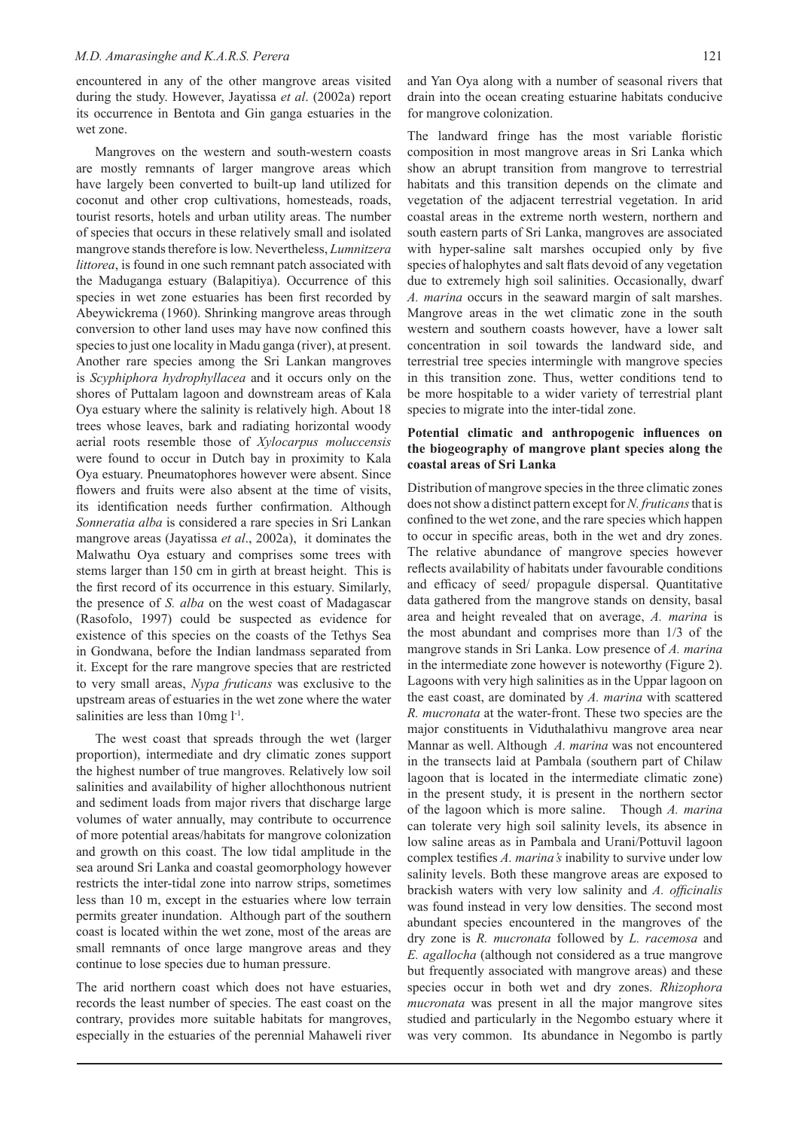encountered in any of the other mangrove areas visited during the study. However, Jayatissa *et al*. (2002a) report its occurrence in Bentota and Gin ganga estuaries in the wet zone.

Mangroves on the western and south-western coasts are mostly remnants of larger mangrove areas which have largely been converted to built-up land utilized for coconut and other crop cultivations, homesteads, roads, tourist resorts, hotels and urban utility areas. The number of species that occurs in these relatively small and isolated mangrove stands therefore is low. Nevertheless, *Lumnitzera littorea*, is found in one such remnant patch associated with the Maduganga estuary (Balapitiya). Occurrence of this species in wet zone estuaries has been first recorded by Abeywickrema (1960). Shrinking mangrove areas through conversion to other land uses may have now confined this species to just one locality in Madu ganga (river), at present. Another rare species among the Sri Lankan mangroves is *Scyphiphora hydrophyllacea* and it occurs only on the shores of Puttalam lagoon and downstream areas of Kala Oya estuary where the salinity is relatively high. About 18 trees whose leaves, bark and radiating horizontal woody aerial roots resemble those of *Xylocarpus moluccensis* were found to occur in Dutch bay in proximity to Kala Oya estuary. Pneumatophores however were absent. Since flowers and fruits were also absent at the time of visits, its identification needs further confirmation. Although *Sonneratia alba* is considered a rare species in Sri Lankan mangrove areas (Jayatissa *et al*., 2002a), it dominates the Malwathu Oya estuary and comprises some trees with stems larger than 150 cm in girth at breast height. This is the first record of its occurrence in this estuary. Similarly, the presence of *S. alba* on the west coast of Madagascar (Rasofolo, 1997) could be suspected as evidence for existence of this species on the coasts of the Tethys Sea in Gondwana, before the Indian landmass separated from it. Except for the rare mangrove species that are restricted to very small areas, *Nypa fruticans* was exclusive to the upstream areas of estuaries in the wet zone where the water salinities are less than  $10mg l^{-1}$ .

The west coast that spreads through the wet (larger proportion), intermediate and dry climatic zones support the highest number of true mangroves. Relatively low soil salinities and availability of higher allochthonous nutrient and sediment loads from major rivers that discharge large volumes of water annually, may contribute to occurrence of more potential areas/habitats for mangrove colonization and growth on this coast. The low tidal amplitude in the sea around Sri Lanka and coastal geomorphology however restricts the inter-tidal zone into narrow strips, sometimes less than 10 m, except in the estuaries where low terrain permits greater inundation. Although part of the southern coast is located within the wet zone, most of the areas are small remnants of once large mangrove areas and they continue to lose species due to human pressure.

The arid northern coast which does not have estuaries, records the least number of species. The east coast on the contrary, provides more suitable habitats for mangroves, especially in the estuaries of the perennial Mahaweli river

and Yan Oya along with a number of seasonal rivers that drain into the ocean creating estuarine habitats conducive for mangrove colonization.

The landward fringe has the most variable floristic composition in most mangrove areas in Sri Lanka which show an abrupt transition from mangrove to terrestrial habitats and this transition depends on the climate and vegetation of the adjacent terrestrial vegetation. In arid coastal areas in the extreme north western, northern and south eastern parts of Sri Lanka, mangroves are associated with hyper-saline salt marshes occupied only by five species of halophytes and salt flats devoid of any vegetation due to extremely high soil salinities. Occasionally, dwarf *A. marina* occurs in the seaward margin of salt marshes. Mangrove areas in the wet climatic zone in the south western and southern coasts however, have a lower salt concentration in soil towards the landward side, and terrestrial tree species intermingle with mangrove species in this transition zone. Thus, wetter conditions tend to be more hospitable to a wider variety of terrestrial plant species to migrate into the inter-tidal zone.

#### **Potential climatic and anthropogenic influences on the biogeography of mangrove plant species along the coastal areas of Sri Lanka**

Distribution of mangrove species in the three climatic zones does not show a distinct pattern except for *N. fruticans* that is confined to the wet zone, and the rare species which happen to occur in specific areas, both in the wet and dry zones. The relative abundance of mangrove species however reflects availability of habitats under favourable conditions and efficacy of seed/ propagule dispersal. Quantitative data gathered from the mangrove stands on density, basal area and height revealed that on average, *A. marina* is the most abundant and comprises more than 1/3 of the mangrove stands in Sri Lanka. Low presence of *A. marina* in the intermediate zone however is noteworthy (Figure 2). Lagoons with very high salinities as in the Uppar lagoon on the east coast, are dominated by *A. marina* with scattered *R. mucronata* at the water-front. These two species are the major constituents in Viduthalathivu mangrove area near Mannar as well. Although *A. marina* was not encountered in the transects laid at Pambala (southern part of Chilaw lagoon that is located in the intermediate climatic zone) in the present study, it is present in the northern sector of the lagoon which is more saline. Though *A. marina* can tolerate very high soil salinity levels, its absence in low saline areas as in Pambala and Urani/Pottuvil lagoon complex testifies *A. marina's* inability to survive under low salinity levels. Both these mangrove areas are exposed to brackish waters with very low salinity and *A. officinalis* was found instead in very low densities. The second most abundant species encountered in the mangroves of the dry zone is *R. mucronata* followed by *L. racemosa* and *E. agallocha* (although not considered as a true mangrove but frequently associated with mangrove areas) and these species occur in both wet and dry zones. *Rhizophora mucronata* was present in all the major mangrove sites studied and particularly in the Negombo estuary where it was very common. Its abundance in Negombo is partly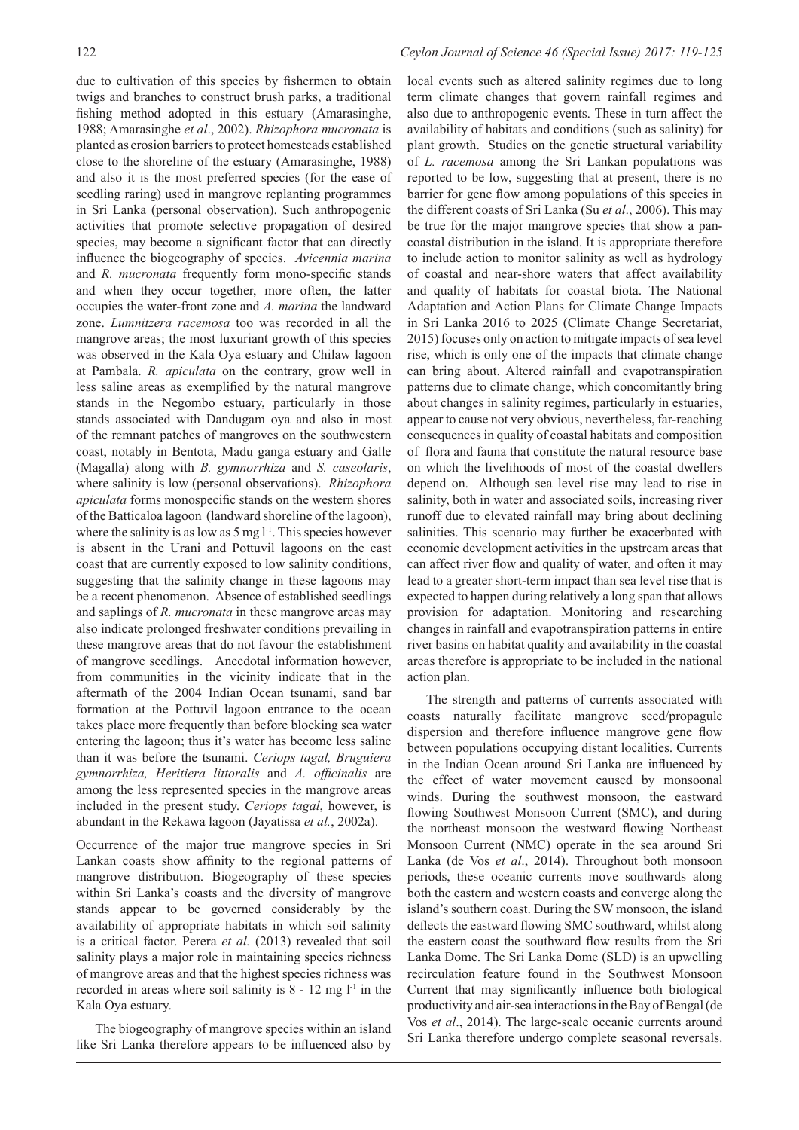due to cultivation of this species by fishermen to obtain twigs and branches to construct brush parks, a traditional fishing method adopted in this estuary (Amarasinghe, 1988; Amarasinghe *et al*., 2002). *Rhizophora mucronata* is planted as erosion barriers to protect homesteads established close to the shoreline of the estuary (Amarasinghe, 1988) and also it is the most preferred species (for the ease of seedling raring) used in mangrove replanting programmes in Sri Lanka (personal observation). Such anthropogenic activities that promote selective propagation of desired species, may become a significant factor that can directly influence the biogeography of species. *Avicennia marina* and *R. mucronata* frequently form mono-specific stands and when they occur together, more often, the latter occupies the water-front zone and *A. marina* the landward zone. *Lumnitzera racemosa* too was recorded in all the mangrove areas; the most luxuriant growth of this species was observed in the Kala Oya estuary and Chilaw lagoon at Pambala. *R. apiculata* on the contrary, grow well in less saline areas as exemplified by the natural mangrove stands in the Negombo estuary, particularly in those stands associated with Dandugam oya and also in most of the remnant patches of mangroves on the southwestern coast, notably in Bentota, Madu ganga estuary and Galle (Magalla) along with *B. gymnorrhiza* and *S. caseolaris*, where salinity is low (personal observations). *Rhizophora apiculata* forms monospecific stands on the western shores of the Batticaloa lagoon (landward shoreline of the lagoon), where the salinity is as low as  $5 \text{ mg } l^{-1}$ . This species however is absent in the Urani and Pottuvil lagoons on the east coast that are currently exposed to low salinity conditions, suggesting that the salinity change in these lagoons may be a recent phenomenon. Absence of established seedlings and saplings of *R. mucronata* in these mangrove areas may also indicate prolonged freshwater conditions prevailing in these mangrove areas that do not favour the establishment of mangrove seedlings. Anecdotal information however, from communities in the vicinity indicate that in the aftermath of the 2004 Indian Ocean tsunami, sand bar formation at the Pottuvil lagoon entrance to the ocean takes place more frequently than before blocking sea water entering the lagoon; thus it's water has become less saline than it was before the tsunami. *Ceriops tagal, Bruguiera gymnorrhiza, Heritiera littoralis* and *A. officinalis* are among the less represented species in the mangrove areas included in the present study. *Ceriops tagal*, however, is abundant in the Rekawa lagoon (Jayatissa *et al.*, 2002a).

Occurrence of the major true mangrove species in Sri Lankan coasts show affinity to the regional patterns of mangrove distribution. Biogeography of these species within Sri Lanka's coasts and the diversity of mangrove stands appear to be governed considerably by the availability of appropriate habitats in which soil salinity is a critical factor. Perera *et al.* (2013) revealed that soil salinity plays a major role in maintaining species richness of mangrove areas and that the highest species richness was recorded in areas where soil salinity is  $8 - 12$  mg  $l<sup>-1</sup>$  in the Kala Oya estuary.

The biogeography of mangrove species within an island like Sri Lanka therefore appears to be influenced also by local events such as altered salinity regimes due to long term climate changes that govern rainfall regimes and also due to anthropogenic events. These in turn affect the availability of habitats and conditions (such as salinity) for plant growth. Studies on the genetic structural variability of *L. racemosa* among the Sri Lankan populations was reported to be low, suggesting that at present, there is no barrier for gene flow among populations of this species in the different coasts of Sri Lanka (Su *et al*., 2006). This may be true for the major mangrove species that show a pancoastal distribution in the island. It is appropriate therefore to include action to monitor salinity as well as hydrology of coastal and near-shore waters that affect availability and quality of habitats for coastal biota. The National Adaptation and Action Plans for Climate Change Impacts in Sri Lanka 2016 to 2025 (Climate Change Secretariat, 2015) focuses only on action to mitigate impacts of sea level rise, which is only one of the impacts that climate change can bring about. Altered rainfall and evapotranspiration patterns due to climate change, which concomitantly bring about changes in salinity regimes, particularly in estuaries, appear to cause not very obvious, nevertheless, far-reaching consequences in quality of coastal habitats and composition of flora and fauna that constitute the natural resource base on which the livelihoods of most of the coastal dwellers depend on. Although sea level rise may lead to rise in salinity, both in water and associated soils, increasing river runoff due to elevated rainfall may bring about declining salinities. This scenario may further be exacerbated with economic development activities in the upstream areas that can affect river flow and quality of water, and often it may lead to a greater short-term impact than sea level rise that is expected to happen during relatively a long span that allows provision for adaptation. Monitoring and researching changes in rainfall and evapotranspiration patterns in entire river basins on habitat quality and availability in the coastal areas therefore is appropriate to be included in the national action plan.

The strength and patterns of currents associated with coasts naturally facilitate mangrove seed/propagule dispersion and therefore influence mangrove gene flow between populations occupying distant localities. Currents in the Indian Ocean around Sri Lanka are influenced by the effect of water movement caused by monsoonal winds. During the southwest monsoon, the eastward flowing Southwest Monsoon Current (SMC), and during the northeast monsoon the westward flowing Northeast Monsoon Current (NMC) operate in the sea around Sri Lanka (de Vos *et al*., 2014). Throughout both monsoon periods, these oceanic currents move southwards along both the eastern and western coasts and converge along the island's southern coast. During the SW monsoon, the island deflects the eastward flowing SMC southward, whilst along the eastern coast the southward flow results from the Sri Lanka Dome. The Sri Lanka Dome (SLD) is an upwelling recirculation feature found in the Southwest Monsoon Current that may significantly influence both biological productivity and air-sea interactions in the Bay of Bengal (de Vos *et al*., 2014). The large-scale oceanic currents around Sri Lanka therefore undergo complete seasonal reversals.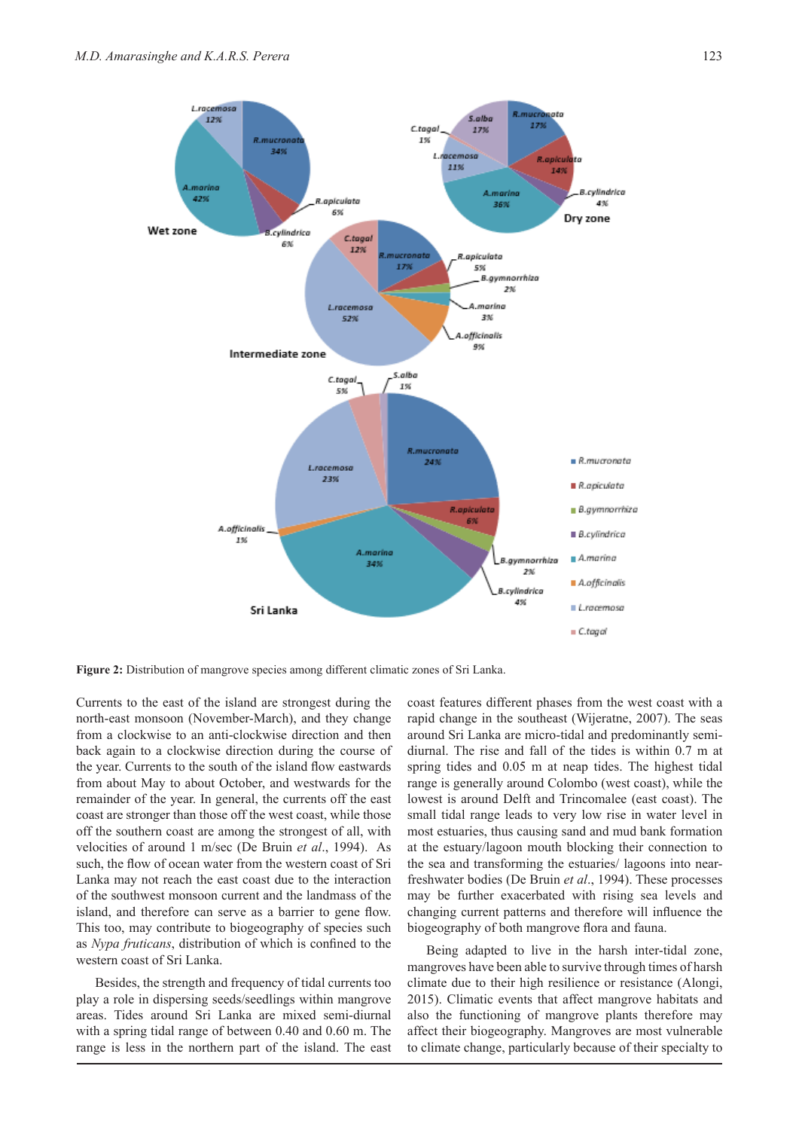

**Figure 2:** Distribution of mangrove species among different climatic zones of Sri Lanka.

Currents to the east of the island are strongest during the north-east monsoon (November-March), and they change from a clockwise to an anti-clockwise direction and then back again to a clockwise direction during the course of the year. Currents to the south of the island flow eastwards from about May to about October, and westwards for the remainder of the year. In general, the currents off the east coast are stronger than those off the west coast, while those off the southern coast are among the strongest of all, with velocities of around 1 m/sec (De Bruin *et al*., 1994). As such, the flow of ocean water from the western coast of Sri Lanka may not reach the east coast due to the interaction of the southwest monsoon current and the landmass of the island, and therefore can serve as a barrier to gene flow. This too, may contribute to biogeography of species such as *Nypa fruticans*, distribution of which is confined to the western coast of Sri Lanka.

Besides, the strength and frequency of tidal currents too play a role in dispersing seeds/seedlings within mangrove areas. Tides around Sri Lanka are mixed semi-diurnal with a spring tidal range of between 0.40 and 0.60 m. The range is less in the northern part of the island. The east

coast features different phases from the west coast with a rapid change in the southeast (Wijeratne, 2007). The seas around Sri Lanka are micro-tidal and predominantly semidiurnal. The rise and fall of the tides is within 0.7 m at spring tides and 0.05 m at neap tides. The highest tidal range is generally around Colombo (west coast), while the lowest is around Delft and Trincomalee (east coast). The small tidal range leads to very low rise in water level in most estuaries, thus causing sand and mud bank formation at the estuary/lagoon mouth blocking their connection to the sea and transforming the estuaries/ lagoons into nearfreshwater bodies (De Bruin *et al*., 1994). These processes may be further exacerbated with rising sea levels and changing current patterns and therefore will influence the biogeography of both mangrove flora and fauna.

Being adapted to live in the harsh inter-tidal zone, mangroves have been able to survive through times of harsh climate due to their high resilience or resistance (Alongi, 2015). Climatic events that affect mangrove habitats and also the functioning of mangrove plants therefore may affect their biogeography. Mangroves are most vulnerable to climate change, particularly because of their specialty to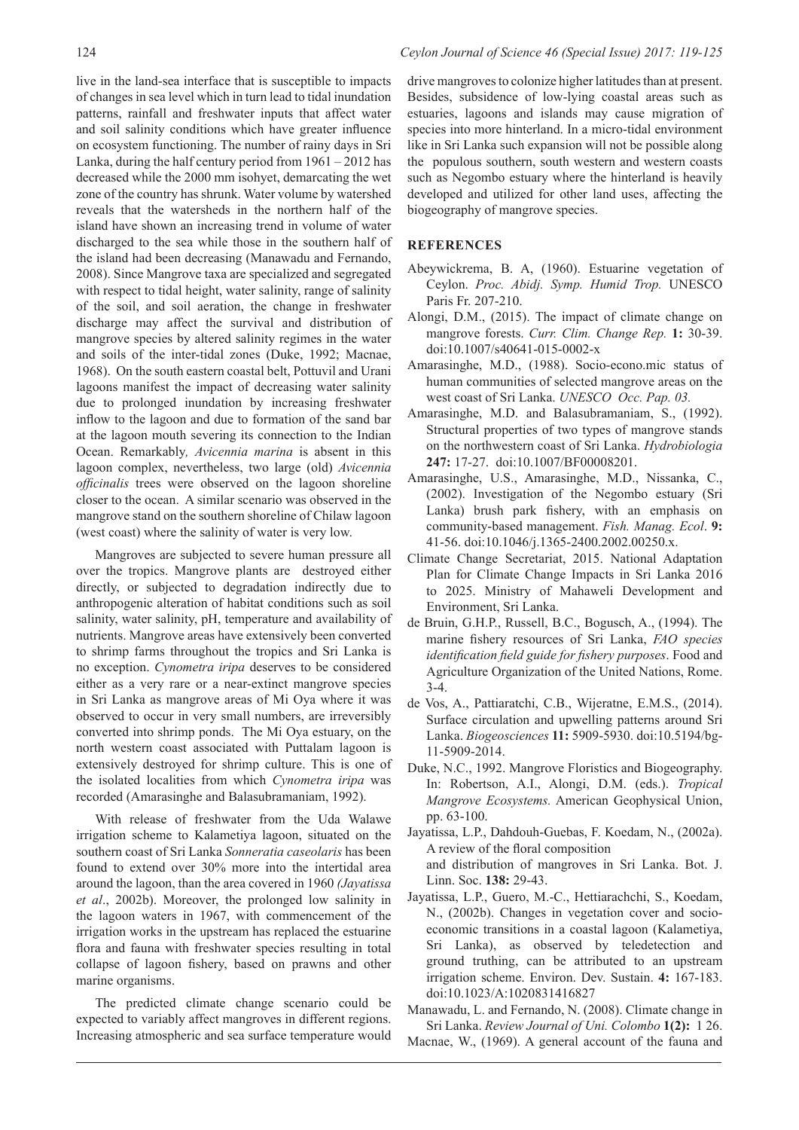live in the land-sea interface that is susceptible to impacts of changes in sea level which in turn lead to tidal inundation patterns, rainfall and freshwater inputs that affect water and soil salinity conditions which have greater influence on ecosystem functioning. The number of rainy days in Sri Lanka, during the half century period from 1961 – 2012 has decreased while the 2000 mm isohyet, demarcating the wet zone of the country has shrunk. Water volume by watershed reveals that the watersheds in the northern half of the island have shown an increasing trend in volume of water discharged to the sea while those in the southern half of the island had been decreasing (Manawadu and Fernando, 2008). Since Mangrove taxa are specialized and segregated with respect to tidal height, water salinity, range of salinity of the soil, and soil aeration, the change in freshwater discharge may affect the survival and distribution of mangrove species by altered salinity regimes in the water and soils of the inter-tidal zones (Duke, 1992; Macnae, 1968). On the south eastern coastal belt, Pottuvil and Urani lagoons manifest the impact of decreasing water salinity due to prolonged inundation by increasing freshwater inflow to the lagoon and due to formation of the sand bar at the lagoon mouth severing its connection to the Indian Ocean. Remarkably*, Avicennia marina* is absent in this lagoon complex, nevertheless, two large (old) *Avicennia officinalis* trees were observed on the lagoon shoreline closer to the ocean. A similar scenario was observed in the mangrove stand on the southern shoreline of Chilaw lagoon (west coast) where the salinity of water is very low.

Mangroves are subjected to severe human pressure all over the tropics. Mangrove plants are destroyed either directly, or subjected to degradation indirectly due to anthropogenic alteration of habitat conditions such as soil salinity, water salinity, pH, temperature and availability of nutrients. Mangrove areas have extensively been converted to shrimp farms throughout the tropics and Sri Lanka is no exception. *Cynometra iripa* deserves to be considered either as a very rare or a near-extinct mangrove species in Sri Lanka as mangrove areas of Mi Oya where it was observed to occur in very small numbers, are irreversibly converted into shrimp ponds. The Mi Oya estuary, on the north western coast associated with Puttalam lagoon is extensively destroyed for shrimp culture. This is one of the isolated localities from which *Cynometra iripa* was recorded (Amarasinghe and Balasubramaniam, 1992).

With release of freshwater from the Uda Walawe irrigation scheme to Kalametiya lagoon, situated on the southern coast of Sri Lanka *Sonneratia caseolaris* has been found to extend over 30% more into the intertidal area around the lagoon, than the area covered in 1960 *(Jayatissa et al*., 2002b). Moreover, the prolonged low salinity in the lagoon waters in 1967, with commencement of the irrigation works in the upstream has replaced the estuarine flora and fauna with freshwater species resulting in total collapse of lagoon fishery, based on prawns and other marine organisms.

The predicted climate change scenario could be expected to variably affect mangroves in different regions. Increasing atmospheric and sea surface temperature would drive mangroves to colonize higher latitudes than at present. Besides, subsidence of low-lying coastal areas such as estuaries, lagoons and islands may cause migration of species into more hinterland. In a micro-tidal environment like in Sri Lanka such expansion will not be possible along the populous southern, south western and western coasts such as Negombo estuary where the hinterland is heavily developed and utilized for other land uses, affecting the biogeography of mangrove species.

#### **REFERENCES**

- Abeywickrema, B. A, (1960). Estuarine vegetation of Ceylon. *Proc. Abidj. Symp. Humid Trop.* UNESCO Paris Fr. 207-210.
- Alongi, D.M., (2015). The impact of climate change on mangrove forests. *Curr. Clim. Change Rep.* **1:** 30-39. doi:10.1007/s40641-015-0002-x
- Amarasinghe, M.D., (1988). Socio-econo.mic status of human communities of selected mangrove areas on the west coast of Sri Lanka. *UNESCO Occ. Pap. 03.*
- Amarasinghe, M.D. and Balasubramaniam, S., (1992). Structural properties of two types of mangrove stands on the northwestern coast of Sri Lanka. *Hydrobiologia*  **247:** 17-27. doi:10.1007/BF00008201.
- Amarasinghe, U.S., Amarasinghe, M.D., Nissanka, C., (2002). Investigation of the Negombo estuary (Sri Lanka) brush park fishery, with an emphasis on community-based management. *Fish. Manag. Ecol*. **9:** 41-56. doi:10.1046/j.1365-2400.2002.00250.x.
- Climate Change Secretariat, 2015. National Adaptation Plan for Climate Change Impacts in Sri Lanka 2016 to 2025. Ministry of Mahaweli Development and Environment, Sri Lanka.
- de Bruin, G.H.P., Russell, B.C., Bogusch, A., (1994). The marine fishery resources of Sri Lanka, *FAO species identification field guide for fishery purposes*. Food and Agriculture Organization of the United Nations, Rome. 3-4.
- de Vos, A., Pattiaratchi, C.B., Wijeratne, E.M.S., (2014). Surface circulation and upwelling patterns around Sri Lanka. *Biogeosciences* **11:** 5909-5930. doi:10.5194/bg-11-5909-2014.
- Duke, N.C., 1992. Mangrove Floristics and Biogeography. In: Robertson, A.I., Alongi, D.M. (eds.). *Tropical Mangrove Ecosystems.* American Geophysical Union, pp. 63-100.
- Jayatissa, L.P., Dahdouh-Guebas, F. Koedam, N., (2002a). A review of the floral composition and distribution of mangroves in Sri Lanka. Bot. J. Linn. Soc. **138:** 29-43.
- Jayatissa, L.P., Guero, M.-C., Hettiarachchi, S., Koedam, N., (2002b). Changes in vegetation cover and socioeconomic transitions in a coastal lagoon (Kalametiya, Sri Lanka), as observed by teledetection and ground truthing, can be attributed to an upstream irrigation scheme. Environ. Dev. Sustain. **4:** 167-183. doi:10.1023/A:1020831416827
- Manawadu, L. and Fernando, N. (2008). Climate change in Sri Lanka. *Review Journal of Uni. Colombo* **1(2):** 1 26. Macnae, W., (1969). A general account of the fauna and